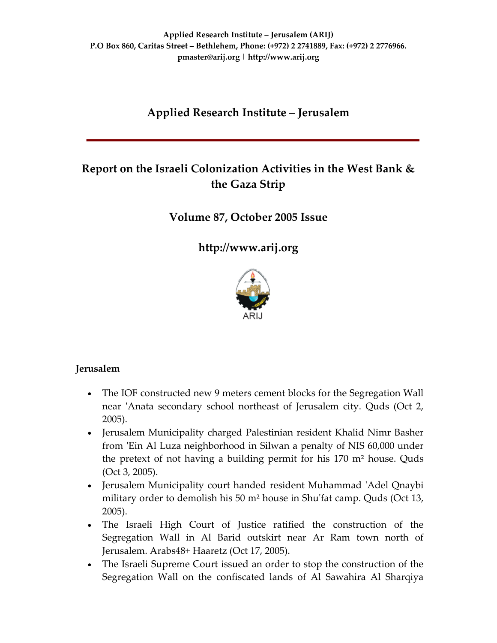# **Applied Research Institute – Jerusalem**

# **Report on the Israeli Colonization Activities in the West Bank & the Gaza Strip**

## **Volume 87, October 2005 Issue**

**[http://www.arij.org](http://www.arij.org/)**



### **Jerusalem**

- The IOF constructed new 9 meters cement blocks for the Segregation Wall near 'Anata secondary school northeast of Jerusalem city. Quds (Oct 2, 2005).
- Jerusalem Municipality charged Palestinian resident Khalid Nimr Basher from ʹEin Al Luza neighborhood in Silwan a penalty of NIS 60,000 under the pretext of not having a building permit for his 170 m² house. Quds (Oct 3, 2005).
- Jerusalem Municipality court handed resident Muhammad 'Adel Qnaybi military order to demolish his 50 m<sup>2</sup> house in Shu'fat camp. Quds (Oct 13, 2005).
- The Israeli High Court of Justice ratified the construction of the Segregation Wall in Al Barid outskirt near Ar Ram town north of Jerusalem. Arabs48+ Haaretz (Oct 17, 2005).
- The Israeli Supreme Court issued an order to stop the construction of the Segregation Wall on the confiscated lands of Al Sawahira Al Sharqiya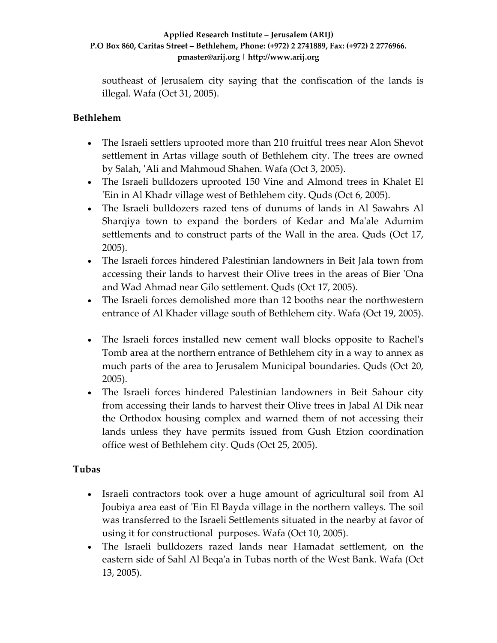southeast of Jerusalem city saying that the confiscation of the lands is illegal. Wafa (Oct 31, 2005).

### **Bethlehem**

- The Israeli settlers uprooted more than 210 fruitful trees near Alon Shevot settlement in Artas village south of Bethlehem city. The trees are owned by Salah, ʹAli and Mahmoud Shahen. Wafa (Oct 3, 2005).
- The Israeli bulldozers uprooted 150 Vine and Almond trees in Khalet El ʹEin in Al Khadr village west of Bethlehem city. Quds (Oct 6, 2005).
- The Israeli bulldozers razed tens of dunums of lands in Al Sawahrs Al Sharqiya town to expand the borders of Kedar and Maʹale Adumim settlements and to construct parts of the Wall in the area. Quds (Oct 17, 2005).
- The Israeli forces hindered Palestinian landowners in Beit Jala town from accessing their lands to harvest their Olive trees in the areas of Bier ʹOna and Wad Ahmad near Gilo settlement. Quds (Oct 17, 2005).
- The Israeli forces demolished more than 12 booths near the northwestern entrance of Al Khader village south of Bethlehem city. Wafa (Oct 19, 2005).
- The Israeli forces installed new cement wall blocks opposite to Rachel's Tomb area at the northern entrance of Bethlehem city in a way to annex as much parts of the area to Jerusalem Municipal boundaries. Quds (Oct 20, 2005).
- The Israeli forces hindered Palestinian landowners in Beit Sahour city from accessing their lands to harvest their Olive trees in Jabal Al Dik near the Orthodox housing complex and warned them of not accessing their lands unless they have permits issued from Gush Etzion coordination office west of Bethlehem city. Quds (Oct 25, 2005).

### **Tubas**

- Israeli contractors took over a huge amount of agricultural soil from Al Joubiya area east of 'Ein El Bayda village in the northern valleys. The soil was transferred to the Israeli Settlements situated in the nearby at favor of using it for constructional purposes. Wafa (Oct 10, 2005).
- The Israeli bulldozers razed lands near Hamadat settlement, on the eastern side of Sahl Al Beqaʹa in Tubas north of the West Bank. Wafa (Oct 13, 2005).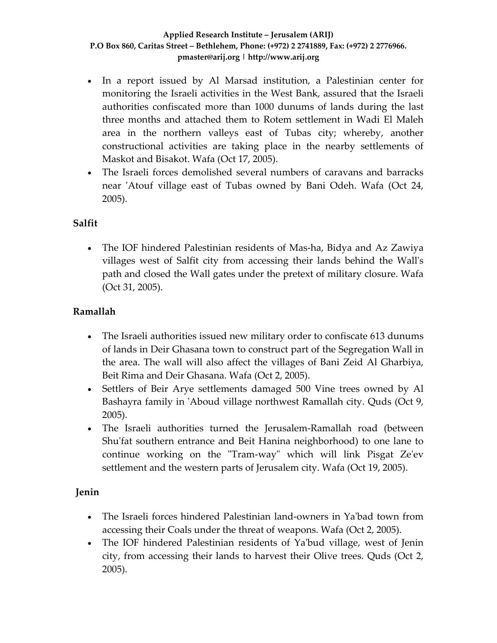- In a report issued by Al Marsad institution, a Palestinian center for monitoring the Israeli activities in the West Bank, assured that the Israeli authorities confiscated more than 1000 dunums of lands during the last three months and attached them to Rotem settlement in Wadi El Maleh area in the northern valleys east of Tubas city; whereby, another constructional activities are taking place in the nearby settlements of Maskot and Bisakot. Wafa (Oct 17, 2005).
- The Israeli forces demolished several numbers of caravans and barracks near 'Atouf village east of Tubas owned by Bani Odeh. Wafa (Oct 24, 2005).

### **Salfit**

• The IOF hindered Palestinian residents of Mas-ha, Bidya and Az Zawiya villages west of Salfit city from accessing their lands behind the Wallʹs path and closed the Wall gates under the pretext of military closure. Wafa (Oct 31, 2005).

### **Ramallah**

- The Israeli authorities issued new military order to confiscate 613 dunums of lands in Deir Ghasana town to construct part of the Segregation Wall in the area. The wall will also affect the villages of Bani Zeid Al Gharbiya, Beit Rima and Deir Ghasana. Wafa (Oct 2, 2005).
- Settlers of Beir Arye settlements damaged 500 Vine trees owned by Al Bashayra family in 'Aboud village northwest Ramallah city. Quds (Oct 9, 2005).
- The Israeli authorities turned the Jerusalem‐Ramallah road (between Shu'fat southern entrance and Beit Hanina neighborhood) to one lane to continue working on the "Tram-way" which will link Pisgat Ze'ev settlement and the western parts of Jerusalem city. Wafa (Oct 19, 2005).

### **Jenin**

- The Israeli forces hindered Palestinian land-owners in Ya'bad town from accessing their Coals under the threat of weapons. Wafa (Oct 2, 2005).
- The IOF hindered Palestinian residents of Ya'bud village, west of Jenin city, from accessing their lands to harvest their Olive trees. Quds (Oct 2, 2005).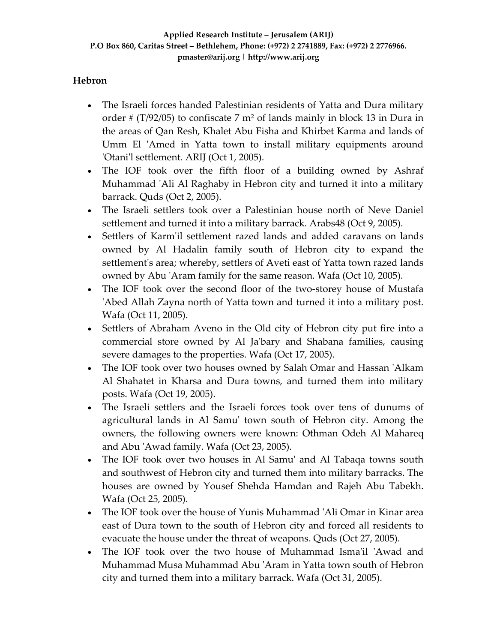### **Hebron**

- The Israeli forces handed Palestinian residents of Yatta and Dura military order # (T/92/05) to confiscate 7 m² of lands mainly in block 13 in Dura in the areas of Qan Resh, Khalet Abu Fisha and Khirbet Karma and lands of Umm El 'Amed in Yatta town to install military equipments around 'Otani'l settlement. ARIJ (Oct 1, 2005).
- The IOF took over the fifth floor of a building owned by Ashraf Muhammad ʹAli Al Raghaby in Hebron city and turned it into a military barrack. Quds (Oct 2, 2005).
- The Israeli settlers took over a Palestinian house north of Neve Daniel settlement and turned it into a military barrack. Arabs48 (Oct 9, 2005).
- Settlers of Karmʹil settlement razed lands and added caravans on lands owned by Al Hadalin family south of Hebron city to expand the settlement's area; whereby, settlers of Aveti east of Yatta town razed lands owned by Abu ʹAram family for the same reason. Wafa (Oct 10, 2005).
- The IOF took over the second floor of the two-storey house of Mustafa ʹAbed Allah Zayna north of Yatta town and turned it into a military post. Wafa (Oct 11, 2005).
- Settlers of Abraham Aveno in the Old city of Hebron city put fire into a commercial store owned by Al Jaʹbary and Shabana families, causing severe damages to the properties. Wafa (Oct 17, 2005).
- The IOF took over two houses owned by Salah Omar and Hassan 'Alkam Al Shahatet in Kharsa and Dura towns, and turned them into military posts. Wafa (Oct 19, 2005).
- The Israeli settlers and the Israeli forces took over tens of dunums of agricultural lands in Al Samuʹ town south of Hebron city. Among the owners, the following owners were known: Othman Odeh Al Mahareq and Abu ʹAwad family. Wafa (Oct 23, 2005).
- The IOF took over two houses in Al Samu' and Al Tabaqa towns south and southwest of Hebron city and turned them into military barracks. The houses are owned by Yousef Shehda Hamdan and Rajeh Abu Tabekh. Wafa (Oct 25, 2005).
- The IOF took over the house of Yunis Muhammad 'Ali Omar in Kinar area east of Dura town to the south of Hebron city and forced all residents to evacuate the house under the threat of weapons. Quds (Oct 27, 2005).
- The IOF took over the two house of Muhammad Isma'il 'Awad and Muhammad Musa Muhammad Abu ʹAram in Yatta town south of Hebron city and turned them into a military barrack. Wafa (Oct 31, 2005).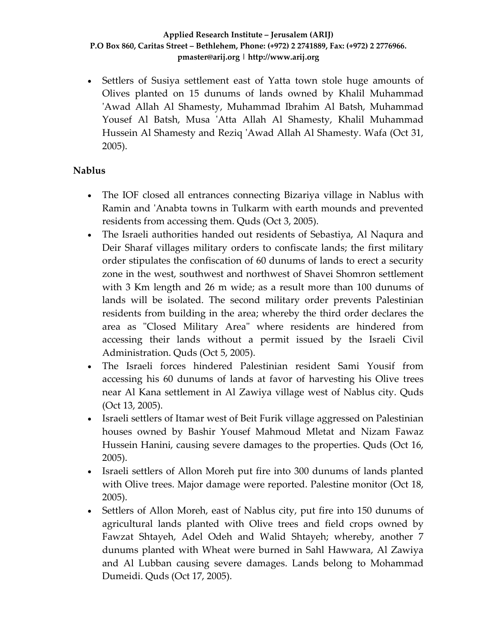• Settlers of Susiya settlement east of Yatta town stole huge amounts of Olives planted on 15 dunums of lands owned by Khalil Muhammad 'Awad Allah Al Shamesty, Muhammad Ibrahim Al Batsh, Muhammad Yousef Al Batsh, Musa 'Atta Allah Al Shamesty, Khalil Muhammad Hussein Al Shamesty and Reziq ʹAwad Allah Al Shamesty. Wafa (Oct 31, 2005).

#### **Nablus**

- The IOF closed all entrances connecting Bizariya village in Nablus with Ramin and ʹAnabta towns in Tulkarm with earth mounds and prevented residents from accessing them. Quds (Oct 3, 2005).
- The Israeli authorities handed out residents of Sebastiya, Al Naqura and Deir Sharaf villages military orders to confiscate lands; the first military order stipulates the confiscation of 60 dunums of lands to erect a security zone in the west, southwest and northwest of Shavei Shomron settlement with 3 Km length and 26 m wide; as a result more than 100 dunums of lands will be isolated. The second military order prevents Palestinian residents from building in the area; whereby the third order declares the area as "Closed Military Area" where residents are hindered from accessing their lands without a permit issued by the Israeli Civil Administration. Quds (Oct 5, 2005).
- The Israeli forces hindered Palestinian resident Sami Yousif from accessing his 60 dunums of lands at favor of harvesting his Olive trees near Al Kana settlement in Al Zawiya village west of Nablus city. Quds (Oct 13, 2005).
- Israeli settlers of Itamar west of Beit Furik village aggressed on Palestinian houses owned by Bashir Yousef Mahmoud Mletat and Nizam Fawaz Hussein Hanini, causing severe damages to the properties. Quds (Oct 16, 2005).
- Israeli settlers of Allon Moreh put fire into 300 dunums of lands planted with Olive trees. Major damage were reported. Palestine monitor (Oct 18, 2005).
- Settlers of Allon Moreh, east of Nablus city, put fire into 150 dunums of agricultural lands planted with Olive trees and field crops owned by Fawzat Shtayeh, Adel Odeh and Walid Shtayeh; whereby, another 7 dunums planted with Wheat were burned in Sahl Hawwara, Al Zawiya and Al Lubban causing severe damages. Lands belong to Mohammad Dumeidi. Quds (Oct 17, 2005).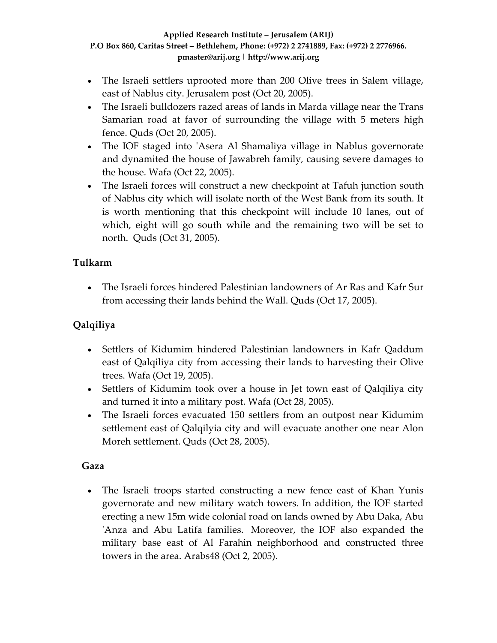- The Israeli settlers uprooted more than 200 Olive trees in Salem village, east of Nablus city. Jerusalem post (Oct 20, 2005).
- The Israeli bulldozers razed areas of lands in Marda village near the Trans Samarian road at favor of surrounding the village with 5 meters high fence. Quds (Oct 20, 2005).
- The IOF staged into 'Asera Al Shamaliya village in Nablus governorate and dynamited the house of Jawabreh family, causing severe damages to the house. Wafa (Oct 22, 2005).
- The Israeli forces will construct a new checkpoint at Tafuh junction south of Nablus city which will isolate north of the West Bank from its south. It is worth mentioning that this checkpoint will include 10 lanes, out of which, eight will go south while and the remaining two will be set to north. Quds (Oct 31, 2005).

### **Tulkarm**

• The Israeli forces hindered Palestinian landowners of Ar Ras and Kafr Sur from accessing their lands behind the Wall. Quds (Oct 17, 2005).

## **Qalqiliya**

- Settlers of Kidumim hindered Palestinian landowners in Kafr Qaddum east of Qalqiliya city from accessing their lands to harvesting their Olive trees. Wafa (Oct 19, 2005).
- Settlers of Kidumim took over a house in Jet town east of Qalqiliya city and turned it into a military post. Wafa (Oct 28, 2005).
- The Israeli forces evacuated 150 settlers from an outpost near Kidumim settlement east of Qalqilyia city and will evacuate another one near Alon Moreh settlement. Quds (Oct 28, 2005).

### **Gaza**

• The Israeli troops started constructing a new fence east of Khan Yunis governorate and new military watch towers. In addition, the IOF started erecting a new 15m wide colonial road on lands owned by Abu Daka, Abu ʹAnza and Abu Latifa families. Moreover, the IOF also expanded the military base east of Al Farahin neighborhood and constructed three towers in the area. Arabs48 (Oct 2, 2005).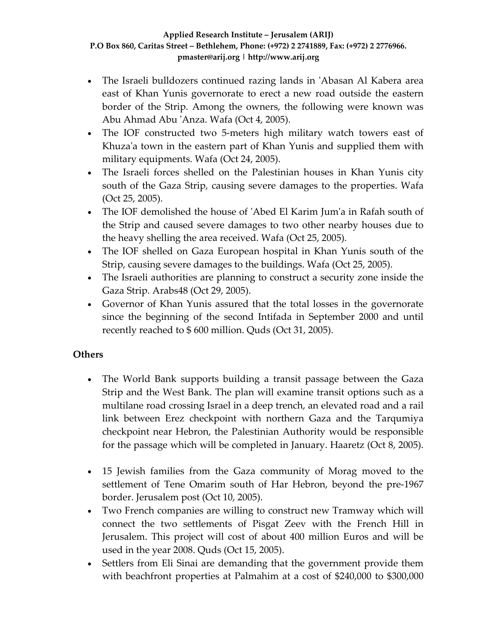- The Israeli bulldozers continued razing lands in 'Abasan Al Kabera area east of Khan Yunis governorate to erect a new road outside the eastern border of the Strip. Among the owners, the following were known was Abu Ahmad Abu ʹAnza. Wafa (Oct 4, 2005).
- The IOF constructed two 5-meters high military watch towers east of Khuza'a town in the eastern part of Khan Yunis and supplied them with military equipments. Wafa (Oct 24, 2005).
- The Israeli forces shelled on the Palestinian houses in Khan Yunis city south of the Gaza Strip, causing severe damages to the properties. Wafa (Oct 25, 2005).
- The IOF demolished the house of 'Abed El Karim Jum'a in Rafah south of the Strip and caused severe damages to two other nearby houses due to the heavy shelling the area received. Wafa (Oct 25, 2005).
- The IOF shelled on Gaza European hospital in Khan Yunis south of the Strip, causing severe damages to the buildings. Wafa (Oct 25, 2005).
- The Israeli authorities are planning to construct a security zone inside the Gaza Strip. Arabs48 (Oct 29, 2005).
- Governor of Khan Yunis assured that the total losses in the governorate since the beginning of the second Intifada in September 2000 and until recently reached to \$ 600 million. Quds (Oct 31, 2005).

### **Others**

- The World Bank supports building a transit passage between the Gaza Strip and the West Bank. The plan will examine transit options such as a multilane road crossing Israel in a deep trench, an elevated road and a rail link between Erez checkpoint with northern Gaza and the Tarqumiya checkpoint near Hebron, the Palestinian Authority would be responsible for the passage which will be completed in January. Haaretz (Oct 8, 2005).
- 15 Jewish families from the Gaza community of Morag moved to the settlement of Tene Omarim south of Har Hebron, beyond the pre‐1967 border. Jerusalem post (Oct 10, 2005).
- Two French companies are willing to construct new Tramway which will connect the two settlements of Pisgat Zeev with the French Hill in Jerusalem. This project will cost of about 400 million Euros and will be used in the year 2008. Quds (Oct 15, 2005).
- Settlers from Eli Sinai are demanding that the government provide them with beachfront properties at Palmahim at a cost of \$240,000 to \$300,000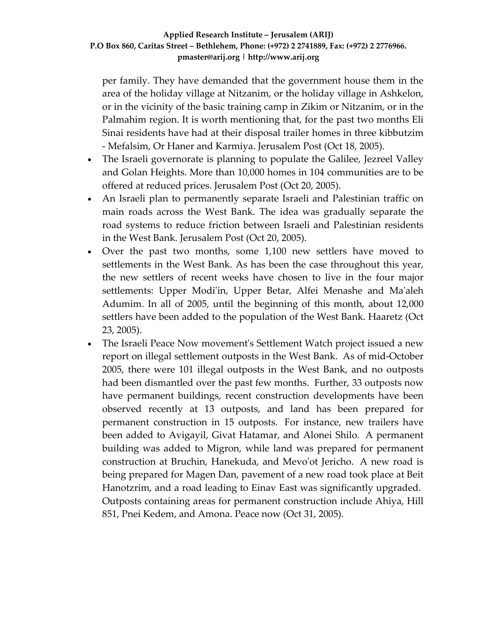per family. They have demanded that the government house them in the area of the holiday village at Nitzanim, or the holiday village in Ashkelon, or in the vicinity of the basic training camp in Zikim or Nitzanim, or in the Palmahim region. It is worth mentioning that, for the past two months Eli Sinai residents have had at their disposal trailer homes in three kibbutzim ‐ Mefalsim, Or Haner and Karmiya. Jerusalem Post (Oct 18, 2005).

- The Israeli governorate is planning to populate the Galilee, Jezreel Valley and Golan Heights. More than 10,000 homes in 104 communities are to be offered at reduced prices. Jerusalem Post (Oct 20, 2005).
- An Israeli plan to permanently separate Israeli and Palestinian traffic on main roads across the West Bank. The idea was gradually separate the road systems to reduce friction between Israeli and Palestinian residents in the West Bank. Jerusalem Post (Oct 20, 2005).
- Over the past two months, some 1,100 new settlers have moved to settlements in the West Bank. As has been the case throughout this year, the new settlers of recent weeks have chosen to live in the four major settlements: Upper Modi'in, Upper Betar, Alfei Menashe and Ma'aleh Adumim. In all of 2005, until the beginning of this month, about 12,000 settlers have been added to the population of the West Bank. Haaretz (Oct 23, 2005).
- The Israeli Peace Now movementʹs Settlement Watch project issued a new report on illegal settlement outposts in the West Bank. As of mid‐October 2005, there were 101 illegal outposts in the West Bank, and no outposts had been dismantled over the past few months. Further, 33 outposts now have permanent buildings, recent construction developments have been observed recently at 13 outposts, and land has been prepared for permanent construction in 15 outposts. For instance, new trailers have been added to Avigayil, Givat Hatamar, and Alonei Shilo. A permanent building was added to Migron, while land was prepared for permanent construction at Bruchin, Hanekuda, and Mevoʹot Jericho. A new road is being prepared for Magen Dan, pavement of a new road took place at Beit Hanotzrim, and a road leading to Einav East was significantly upgraded. Outposts containing areas for permanent construction include Ahiya, Hill 851, Pnei Kedem, and Amona. Peace now (Oct 31, 2005).